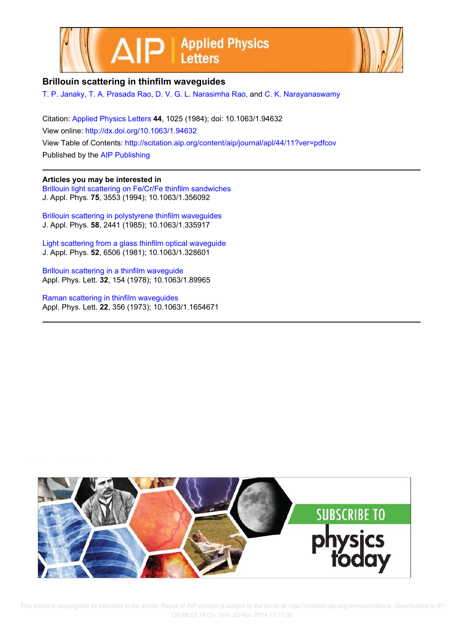



## **Brillouin scattering in thinfilm waveguides**

T. P. Janaky, T. A. Prasada Rao, D. V. G. L. Narasimha Rao, and C. K. Narayanaswamy

Citation: Applied Physics Letters **44**, 1025 (1984); doi: 10.1063/1.94632 View online: http://dx.doi.org/10.1063/1.94632 View Table of Contents: http://scitation.aip.org/content/aip/journal/apl/44/11?ver=pdfcov Published by the AIP Publishing

#### **Articles you may be interested in**

Brillouin light scattering on Fe/Cr/Fe thinfilm sandwiches J. Appl. Phys. **75**, 3553 (1994); 10.1063/1.356092

Brillouin scattering in polystyrene thinfilm waveguides J. Appl. Phys. **58**, 2441 (1985); 10.1063/1.335917

Light scattering from a glass thinfilm optical waveguide J. Appl. Phys. **52**, 6506 (1981); 10.1063/1.328601

Brillouin scattering in a thinfilm waveguide Appl. Phys. Lett. **32**, 154 (1978); 10.1063/1.89965

Raman scattering in thinfilm waveguides Appl. Phys. Lett. **22**, 356 (1973); 10.1063/1.1654671



 This article is copyrighted as indicated in the article. Reuse of AIP content is subject to the terms at: http://scitation.aip.org/termsconditions. Downloaded to IP: 130.88.53.18 On: Sun, 23 Nov 2014 12:17:00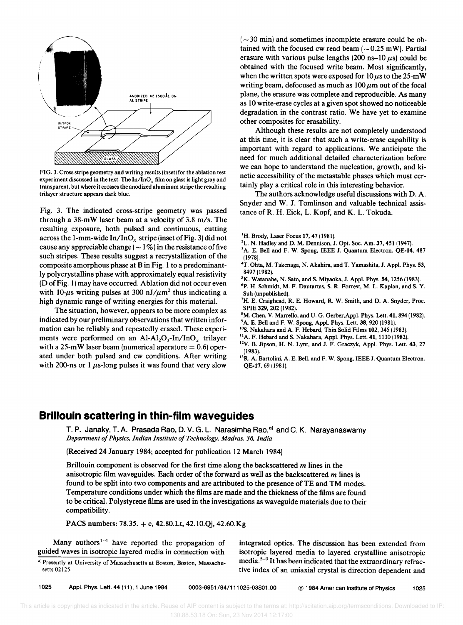

FIG. 3. Cross stripe geometry and writing results (inset) for the ablation test experiment discussed in the text. The In/InO*x* film on glass is light gray and transparent, but where it crosses the anodized aluminum stripe the resulting trilayer structure appears dark blue.

Fig. 3. The indicated cross-stripe geometry was passed through a 38-mW laser beam at a velocity of 3.8 *m/s.* The resulting exposure, both pulsed and continuous, cutting across the l-mm-wide *In/lnOx* stripe (inset of Fig. 3) did not cause any appreciable change ( $\sim$  1%) in the resistance of five such stripes. These results suggest a recrystallization of the composite amorphous phase at B in Fig. 1 to a predominantly polycrystalline phase with approximately equal resistivity (D of Fig. 1) may have occurred. Ablation did not occur even with 10- $\mu$ s writing pulses at 300 nJ/ $\mu$ m<sup>2</sup> thus indicating a high dynamic range of writing energies for this material.

The situation, however, appears to be more complex as indicated by our preliminary observations that written information can be reliably and repeatedly erased. These experiments were performed on an  $Al-Al_2O_3-In/InO_x$  trilayer with a 25-mW laser beam (numerical aperature  $= 0.6$ ) operated under both pulsed and cw conditions. After writing with 200-ns or 1  $\mu$ s-long pulses it was found that very slow

 $(-30 \text{ min})$  and sometimes incomplete erasure could be obtained with the focused cw read beam  $(-0.25 \text{ mW})$ . Partial erasure with various pulse lengths  $(200 \text{ ns}-10 \mu s)$  could be obtained with the focused write beam. Most significantly, when the written spots were exposed for  $10 \mu s$  to the 25-mW writing beam, defocused as much as  $100 \mu m$  out of the focal plane, the erasure was complete and reproducible. As many as lO write-erase cycles at a given spot showed no noticeable degradation in the contrast ratio. We have yet to examine other composites for erasability.

Although these results are not completely understood at this time, it is clear that such a write-erase capability is important with regard to applications. We anticipate the need for much additional detailed characterization before we can hope to understand the nucleation, growth, and kinetic accessibility of the metastable phases which must certainly playa critical role in this interesting behavior.

The authors acknowledge useful discussions with D. A. Snyder and W. J. Tomlinson and valuable technical assistance of R. H. Eick, L. Kopf, and K. L. Tokuda.

- <sup>1</sup>H. Brody, Laser Focus 17, 47 (1981).
- 2L. N. Hadley and D. M. Dennison, J. Opt. Soc. Am. 37, 451(1947).
- <sup>3</sup>A. E. Bell and F. W. Spong, IEEE J. Quantum Electron. **QE-14**, 487 11978).
- 'T. Ohta, M. Takenaga, N. Akahira, and T. Yamashita, J. Appl. Phys. 53, 8497 11982).
- <sup>5</sup>K. Watanabe, N. Sato, and S. Miyaoka, J. Appl. Phys. 54, 1256 (1983).
- 6P. H. Schmidt, M. F. Dautartas, S. R. Forrest, M. L. Kaplan, and S. Y. Suh (unpublished).
- 7H. E. Craighead, R. E. Howard, R. W. Smith, and D. A. Snyder, Proc. SPIE 329, 202 (1982).
- 8M. Chen, Y. Marrello, and U. G. Gerber,Appl. Phys. Lett. 41, 894 (1982). <sup>9</sup>A. E. Bell and F. W. Spong, Appl. Phys. Lett. 38, 920 (1981).
- <sup>10</sup>S. Nakahara and A. F. Hebard, Thin Solid Films 102, 345 (1983).
- $<sup>11</sup>A$ . F. Hebard and S. Nakahara, Appl. Phys. Lett. 41, 1130 (1982).</sup>
- l2y. B. Jipson, H. N. Lynt, and J. F. Graczyk, Appl. Phys. Lett. 43, 27 11983).
- <sup>13</sup>R. A. Bartolini, A. E. Bell, and F. W. Spong, IEEE J. Quantum Electron. QE-17, 69 (1981).

### **Brillouin scattering in thin-film waveguides**

T. P. Janaky, T. A. Prasada Rao, D. V. G. L. Narasimha Rao,<sup>a)</sup> and C. K. Narayanaswamy *Department 0/ Physics, Indian Institute o/Technology, Madras.* 36, *India* 

(Received 24 January 1984; accepted for publication 12 March 1984)

Brillouin component is observed for the first time along the backscattered  $m$  lines in the anisotropic film waveguides. Each order of the forward as well as the backscattered  $m$  lines is found to be split into two components and are attributed to the presence of TE and TM modes. Temperature conditions under which the films are made and the thickness of the films are found to be critical. Polystyrene films are used in the investigations as waveguide materials due to their compatibility.

PACS numbers: 78.35. + c, 42.80.Lt, 42.lO.Qi, 42.60.Kg

Many authors<sup>1-4</sup> have reported the propagation of guided waves in isotropic layered media in connection with

a) Presently at University of Massachusetts at Boston, Boston, Massachusetts 02125.

integrated optics. The discussion has been extended from isotropic layered media to layered crystalline anisotropic media.<sup>5-9</sup> It has been indicated that the extraordinary refractive index of an uniaxial crystal is direction dependent and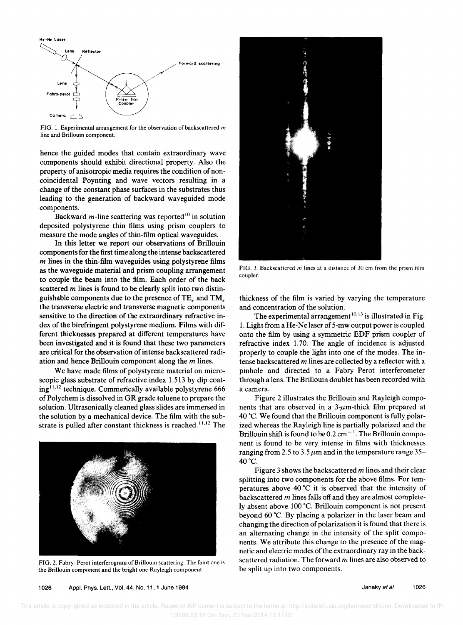

FIG. 1. Experimental arrangement for the observation of backscattered *m* line and Brillouin component.

hence the guided modes that contain extraordinary wave components should exhibit directional property. Also the property of anisotropic media requires the condition of noncoincidental Poynting and wave vectors resulting in a change of the constant phase surfaces in the substrates thus leading to the generation of backward waveguided mode components.

Backward  $m$ -line scattering was reported<sup>10</sup> in solution deposited polystyrene thin films using prism couplers to measure the mode angles of thin-film optical waveguides.

In this letter we report our observations of Brillouin components for the first time along the intense backscattered *m* lines in the thin-film waveguides using polystyrene films as the waveguide material and prism coupling arrangement to couple the beam into the film. Each order of the back scattered  $m$  lines is found to be clearly split into two distinguishable components due to the presence of TE<sub>e</sub> and TM<sub>e</sub> the transverse electric and transverse magnetic components sensitive to the direction of the extraordinary refractive index of the birefringent polystyrene medium. Films with different thicknesses prepared at different temperatures have been investigated and it is found that these two parameters are critical for the observation of intense backscattered radiation and hence Brillouin component along the *m* lines.

We have made films of polystyrene material on microscopic glass substrate of refractive index 1.513 by dip coating<sup>11,12</sup> technique. Commerically available polystyrene 666 of Polychem is dissolved in GR grade toluene to prepare the solution. Ultrasonically cleaned glass slides are immersed in the solution by a mechanical device. The film with the substrate is pulled after constant thickness is reached.<sup>11,12</sup> The



FIG. 2. Fabry-Perot interferogram of Brillouin scattering. The faint one is the Brillouin component and the bright one Rayleigh component.



FIG. 3. Baekseattered *m* lines at a distance of 30 em from the prism film coupler.

thickness of the film is varied by varying the temperature and concentration of the solution.

The experimental arrangement<sup>10,13</sup> is illustrated in Fig. 1. Light from a He-Ne laser of 5-mw output power is coupled onto the film by using a symmetric EDF prism coupler of refractive index 1.70. The angle of incidence is adjusted properly to couple the light into one of the modes. The intense backscattered *m* lines are collected by a reflector with a pinhole and directed to a Fabry-Perot interferometer through a lens. The Brillouin doublet has been recorded with a camera.

Figure 2 illustrates the Brillouin and Rayleigh components that are observed in a  $3-\mu$ m-thick film prepared at 40°C. We found that the Brillouin component is fully polarized whereas the Rayleigh line is partially polarized and the Brillouin shift is found to be  $0.2 \text{ cm}^{-1}$ . The Brillouin component is found to be very intense in films with thicknesses ranging from 2.5 to  $3.5 \mu$ m and in the temperature range 35– 40°C.

Figure 3 shows the backscattered *m* lines and their clear splitting into two components for the above films. For temperatures above 40 °C it is observed that the intensity of back scattered *m* lines falls off and they are almost completely absent above 100 °C. Brillouin component is not present beyond 60 °C. By placing a polarizer in the laser beam and changing the direction of polarization it is found that there is an alternating change in the intensity of the split components. We attribute this change to the presence of the magnetic and electric modes of the extraordinary ray in the backscattered radiation. The forward *m* lines are also observed to be split up into two components.